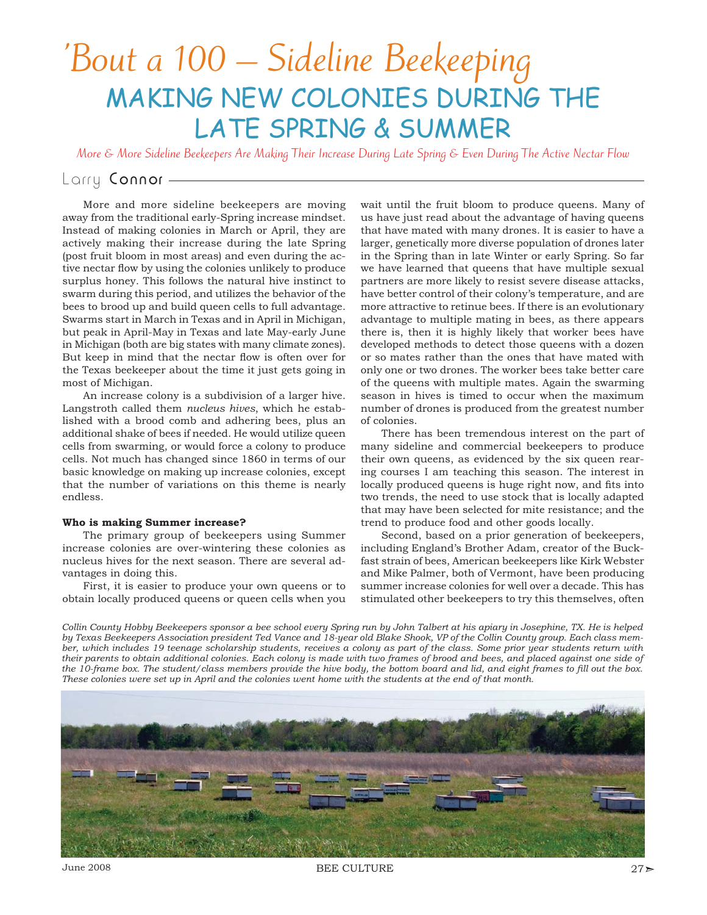# 'Bout a 100 – Sideline Beekeeping MAKING NEW COLONIES DURING THE LATE SPRING & SUMMER

More & More Sideline Beekeepers Are Making Their Increase During Late Spring & Even During The Active Nectar Flow

## Larry Connor -

More and more sideline beekeepers are moving away from the traditional early-Spring increase mindset. Instead of making colonies in March or April, they are actively making their increase during the late Spring (post fruit bloom in most areas) and even during the active nectar flow by using the colonies unlikely to produce surplus honey. This follows the natural hive instinct to swarm during this period, and utilizes the behavior of the bees to brood up and build queen cells to full advantage. Swarms start in March in Texas and in April in Michigan, but peak in April-May in Texas and late May-early June in Michigan (both are big states with many climate zones). But keep in mind that the nectar flow is often over for the Texas beekeeper about the time it just gets going in most of Michigan.

An increase colony is a subdivision of a larger hive. Langstroth called them *nucleus hives*, which he established with a brood comb and adhering bees, plus an additional shake of bees if needed. He would utilize queen cells from swarming, or would force a colony to produce cells. Not much has changed since 1860 in terms of our basic knowledge on making up increase colonies, except that the number of variations on this theme is nearly endless.

#### **Who is making Summer increase?**

The primary group of beekeepers using Summer increase colonies are over-wintering these colonies as nucleus hives for the next season. There are several advantages in doing this.

First, it is easier to produce your own queens or to obtain locally produced queens or queen cells when you wait until the fruit bloom to produce queens. Many of us have just read about the advantage of having queens that have mated with many drones. It is easier to have a larger, genetically more diverse population of drones later in the Spring than in late Winter or early Spring. So far we have learned that queens that have multiple sexual partners are more likely to resist severe disease attacks, have better control of their colony's temperature, and are more attractive to retinue bees. If there is an evolutionary advantage to multiple mating in bees, as there appears there is, then it is highly likely that worker bees have developed methods to detect those queens with a dozen or so mates rather than the ones that have mated with only one or two drones. The worker bees take better care of the queens with multiple mates. Again the swarming season in hives is timed to occur when the maximum number of drones is produced from the greatest number of colonies.

There has been tremendous interest on the part of many sideline and commercial beekeepers to produce their own queens, as evidenced by the six queen rearing courses I am teaching this season. The interest in locally produced queens is huge right now, and fits into two trends, the need to use stock that is locally adapted that may have been selected for mite resistance; and the trend to produce food and other goods locally.

Second, based on a prior generation of beekeepers, including England's Brother Adam, creator of the Buckfast strain of bees, American beekeepers like Kirk Webster and Mike Palmer, both of Vermont, have been producing summer increase colonies for well over a decade. This has stimulated other beekeepers to try this themselves, often

*Collin County Hobby Beekeepers sponsor a bee school every Spring run by John Talbert at his apiary in Josephine, TX. He is helped by Texas Beekeepers Association president Ted Vance and 18-year old Blake Shook, VP of the Collin County group. Each class member, which includes 19 teenage scholarship students, receives a colony as part of the class. Some prior year students return with their parents to obtain additional colonies. Each colony is made with two frames of brood and bees, and placed against one side of*  the 10-frame box. The student/class members provide the hive body, the bottom board and lid, and eight frames to fill out the box. *These colonies were set up in April and the colonies went home with the students at the end of that month.*



June 2008  $27 >$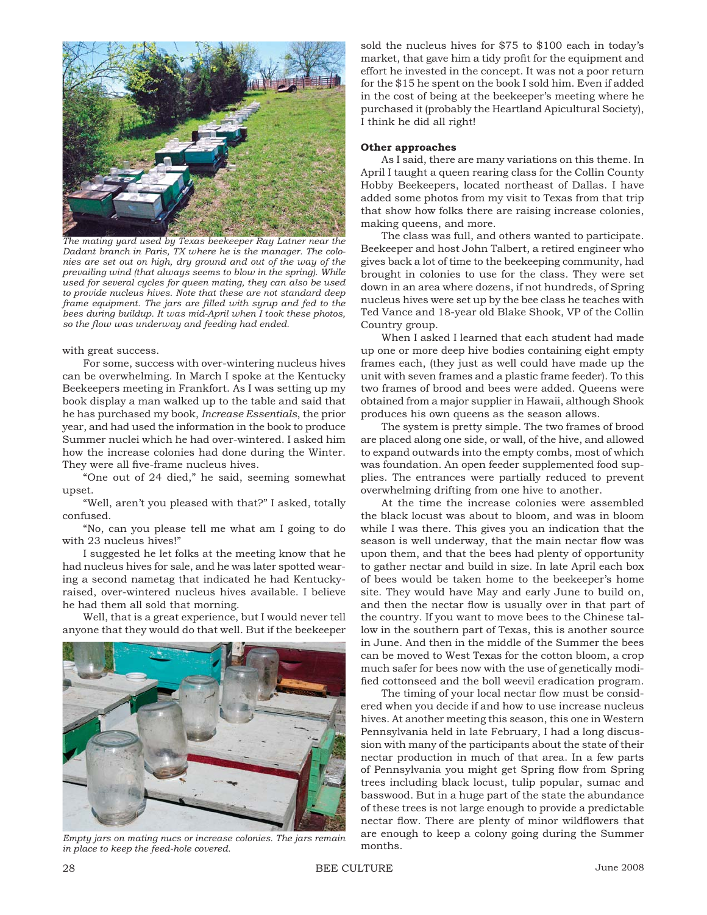

*The mating yard used by Texas beekeeper Ray Latner near the Dadant branch in Paris, TX where he is the manager. The colonies are set out on high, dry ground and out of the way of the prevailing wind (that always seems to blow in the spring). While used for several cycles for queen mating, they can also be used to provide nucleus hives. Note that these are not standard deep*  frame equipment. The jars are filled with syrup and fed to the *bees during buildup. It was mid-April when I took these photos, so the fl ow was underway and feeding had ended.*

with great success.

For some, success with over-wintering nucleus hives can be overwhelming. In March I spoke at the Kentucky Beekeepers meeting in Frankfort. As I was setting up my book display a man walked up to the table and said that he has purchased my book, *Increase Essentials*, the prior year, and had used the information in the book to produce Summer nuclei which he had over-wintered. I asked him how the increase colonies had done during the Winter. They were all five-frame nucleus hives.

"One out of 24 died," he said, seeming somewhat upset.

"Well, aren't you pleased with that?" I asked, totally confused.

"No, can you please tell me what am I going to do with 23 nucleus hives!"

I suggested he let folks at the meeting know that he had nucleus hives for sale, and he was later spotted wearing a second nametag that indicated he had Kentuckyraised, over-wintered nucleus hives available. I believe he had them all sold that morning.

Well, that is a great experience, but I would never tell anyone that they would do that well. But if the beekeeper



*Empty jars on mating nucs or increase colonies. The jars remain in place to keep the feed-hole covered.*

sold the nucleus hives for \$75 to \$100 each in today's market, that gave him a tidy profit for the equipment and effort he invested in the concept. It was not a poor return for the \$15 he spent on the book I sold him. Even if added in the cost of being at the beekeeper's meeting where he purchased it (probably the Heartland Apicultural Society), I think he did all right!

#### **Other approaches**

As I said, there are many variations on this theme. In April I taught a queen rearing class for the Collin County Hobby Beekeepers, located northeast of Dallas. I have added some photos from my visit to Texas from that trip that show how folks there are raising increase colonies, making queens, and more.

The class was full, and others wanted to participate. Beekeeper and host John Talbert, a retired engineer who gives back a lot of time to the beekeeping community, had brought in colonies to use for the class. They were set down in an area where dozens, if not hundreds, of Spring nucleus hives were set up by the bee class he teaches with Ted Vance and 18-year old Blake Shook, VP of the Collin Country group.

When I asked I learned that each student had made up one or more deep hive bodies containing eight empty frames each, (they just as well could have made up the unit with seven frames and a plastic frame feeder). To this two frames of brood and bees were added. Queens were obtained from a major supplier in Hawaii, although Shook produces his own queens as the season allows.

The system is pretty simple. The two frames of brood are placed along one side, or wall, of the hive, and allowed to expand outwards into the empty combs, most of which was foundation. An open feeder supplemented food supplies. The entrances were partially reduced to prevent overwhelming drifting from one hive to another.

At the time the increase colonies were assembled the black locust was about to bloom, and was in bloom while I was there. This gives you an indication that the season is well underway, that the main nectar flow was upon them, and that the bees had plenty of opportunity to gather nectar and build in size. In late April each box of bees would be taken home to the beekeeper's home site. They would have May and early June to build on, and then the nectar flow is usually over in that part of the country. If you want to move bees to the Chinese tallow in the southern part of Texas, this is another source in June. And then in the middle of the Summer the bees can be moved to West Texas for the cotton bloom, a crop much safer for bees now with the use of genetically modified cottonseed and the boll weevil eradication program.

The timing of your local nectar flow must be considered when you decide if and how to use increase nucleus hives. At another meeting this season, this one in Western Pennsylvania held in late February, I had a long discussion with many of the participants about the state of their nectar production in much of that area. In a few parts of Pennsylvania you might get Spring flow from Spring trees including black locust, tulip popular, sumac and basswood. But in a huge part of the state the abundance of these trees is not large enough to provide a predictable nectar flow. There are plenty of minor wildflowers that are enough to keep a colony going during the Summer months.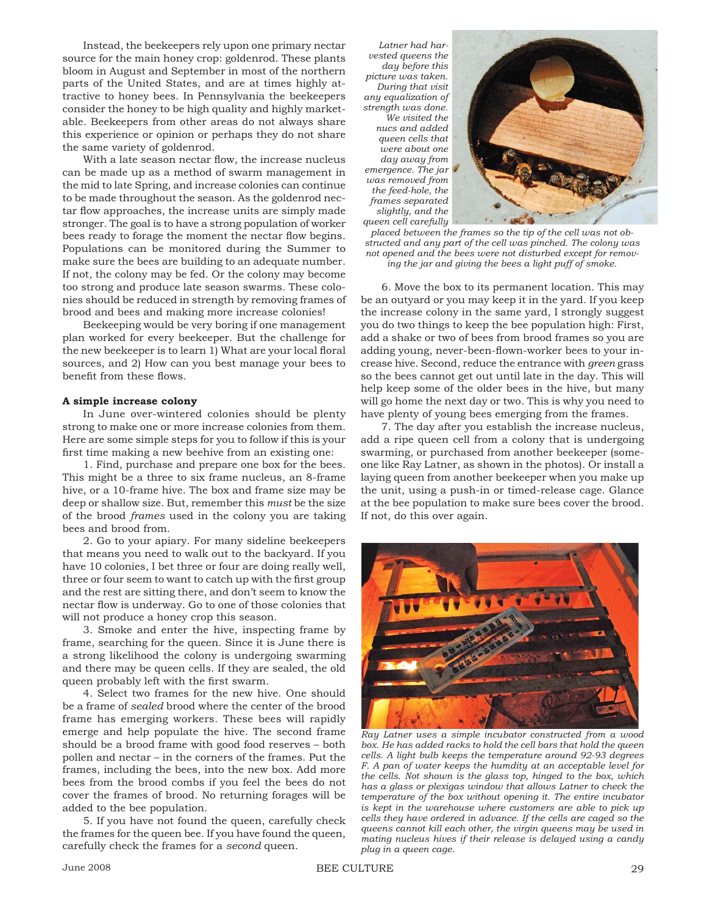Instead, the beekeepers rely upon one primary nectar source for the main honey crop: goldenrod. These plants bloom in August and September in most of the northern parts of the United States, and are at times highly attractive to honey bees. In Pennsylvania the beekeepers consider the honey to be high quality and highly marketable. Beekeepers from other areas do not always share this experience or opinion or perhaps they do not share the same variety of goldenrod.

With a late season nectar flow, the increase nucleus can be made up as a method of swarm management in the mid to late Spring, and increase colonies can continue to be made throughout the season. As the goldenrod nectar flow approaches, the increase units are simply made stronger. The goal is to have a strong population of worker bees ready to forage the moment the nectar flow begins. Populations can be monitored during the Summer to make sure the bees are building to an adequate number. If not, the colony may be fed. Or the colony may become too strong and produce late season swarms. These colonies should be reduced in strength by removing frames of brood and bees and making more increase colonies!

Beekeeping would be very boring if one management plan worked for every beekeeper. But the challenge for the new beekeeper is to learn 1) What are your local floral sources, and 2) How can you best manage your bees to benefit from these flows.

### **A simple increase colony**

In June over-wintered colonies should be plenty strong to make one or more increase colonies from them. Here are some simple steps for you to follow if this is your first time making a new beehive from an existing one:

1. Find, purchase and prepare one box for the bees. This might be a three to six frame nucleus, an 8-frame hive, or a 10-frame hive. The box and frame size may be deep or shallow size. But, remember this *must* be the size of the brood *frames* used in the colony you are taking bees and brood from.

2. Go to your apiary. For many sideline beekeepers that means you need to walk out to the backyard. If you have 10 colonies, I bet three or four are doing really well, three or four seem to want to catch up with the first group and the rest are sitting there, and don't seem to know the nectar flow is underway. Go to one of those colonies that will not produce a honey crop this season.

3. Smoke and enter the hive, inspecting frame by frame, searching for the queen. Since it is June there is a strong likelihood the colony is undergoing swarming and there may be queen cells. If they are sealed, the old queen probably left with the first swarm.

4. Select two frames for the new hive. One should be a frame of *sealed* brood where the center of the brood frame has emerging workers. These bees will rapidly emerge and help populate the hive. The second frame should be a brood frame with good food reserves – both pollen and nectar – in the corners of the frames. Put the frames, including the bees, into the new box. Add more bees from the brood combs if you feel the bees do not cover the frames of brood. No returning forages will be added to the bee population.

5. If you have not found the queen, carefully check the frames for the queen bee. If you have found the queen, carefully check the frames for a *second* queen.

*Latner had harvested queens the day before this picture was taken. During that visit any equalization of strength was done. We visited the nucs and added queen cells that were about one day away from emergence. The jar was removed from the feed-hole, the frames separated slightly, and the queen cell carefully* 



*placed between the frames so the tip of the cell was not obstructed and any part of the cell was pinched. The colony was not opened and the bees were not disturbed except for removing the jar and giving the bees a light puff of smoke.*

6. Move the box to its permanent location. This may be an outyard or you may keep it in the yard. If you keep the increase colony in the same yard, I strongly suggest you do two things to keep the bee population high: First, add a shake or two of bees from brood frames so you are adding young, never-been-flown-worker bees to your increase hive. Second, reduce the entrance with *green* grass so the bees cannot get out until late in the day. This will help keep some of the older bees in the hive, but many will go home the next day or two. This is why you need to have plenty of young bees emerging from the frames.

7. The day after you establish the increase nucleus, add a ripe queen cell from a colony that is undergoing swarming, or purchased from another beekeeper (someone like Ray Latner, as shown in the photos). Or install a laying queen from another beekeeper when you make up the unit, using a push-in or timed-release cage. Glance at the bee population to make sure bees cover the brood. If not, do this over again.



*Ray Latner uses a simple incubator constructed from a wood box. He has added racks to hold the cell bars that hold the queen cells. A light bulb keeps the temperature around 92-93 degrees F. A pan of water keeps the humdity at an acceptable level for the cells. Not shown is the glass top, hinged to the box, which has a glass or plexigas window that allows Latner to check the temperature of the box without opening it. The entire incubator is kept in the warehouse where customers are able to pick up cells they have ordered in advance. If the cells are caged so the queens cannot kill each other, the virgin queens may be used in mating nucleus hives if their release is delayed using a candy plug in a queen cage.*